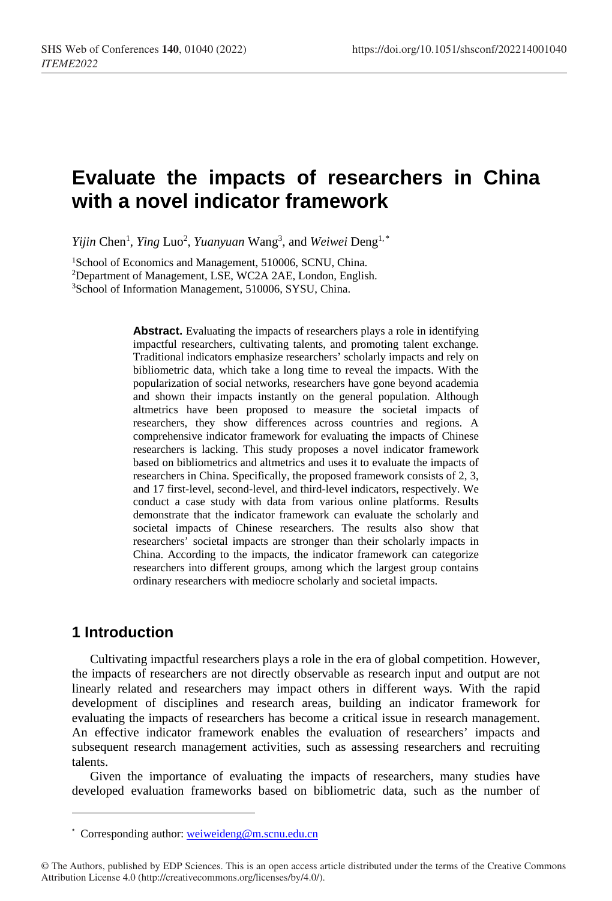# **Evaluate the impacts of researchers in China with a novel indicator framework**

Yijin Chen<sup>1</sup>, Ying Luo<sup>2</sup>, Yuanyuan Wang<sup>3</sup>, and *Weiwei* Deng<sup>1,[\\*](#page-0-0)</sup>

<sup>1</sup>School of Economics and Management, 510006, SCNU, China. 2Department of Management, LSE, WC2A 2AE, London, English. 3School of Information Management, 510006, SYSU, China.

> **Abstract.** Evaluating the impacts of researchers plays a role in identifying impactful researchers, cultivating talents, and promoting talent exchange. Traditional indicators emphasize researchers' scholarly impacts and rely on bibliometric data, which take a long time to reveal the impacts. With the popularization of social networks, researchers have gone beyond academia and shown their impacts instantly on the general population. Although altmetrics have been proposed to measure the societal impacts of researchers, they show differences across countries and regions. A comprehensive indicator framework for evaluating the impacts of Chinese researchers is lacking. This study proposes a novel indicator framework based on bibliometrics and altmetrics and uses it to evaluate the impacts of researchers in China. Specifically, the proposed framework consists of 2, 3, and 17 first-level, second-level, and third-level indicators, respectively. We conduct a case study with data from various online platforms. Results demonstrate that the indicator framework can evaluate the scholarly and societal impacts of Chinese researchers. The results also show that researchers' societal impacts are stronger than their scholarly impacts in China. According to the impacts, the indicator framework can categorize researchers into different groups, among which the largest group contains ordinary researchers with mediocre scholarly and societal impacts.

# **1 Introduction**

l

Cultivating impactful researchers plays a role in the era of global competition. However, the impacts of researchers are not directly observable as research input and output are not linearly related and researchers may impact others in different ways. With the rapid development of disciplines and research areas, building an indicator framework for evaluating the impacts of researchers has become a critical issue in research management. An effective indicator framework enables the evaluation of researchers' impacts and subsequent research management activities, such as assessing researchers and recruiting talents.

Given the importance of evaluating the impacts of researchers, many studies have developed evaluation frameworks based on bibliometric data, such as the number of

<sup>\*</sup> Corresponding author: [weiweideng@m.scnu.edu.cn](mailto:weiweideng@m.scnu.edu.cn)

<span id="page-0-0"></span><sup>©</sup> The Authors, published by EDP Sciences. This is an open access article distributed under the terms of the Creative Commons Attribution License 4.0 (http://creativecommons.org/licenses/by/4.0/).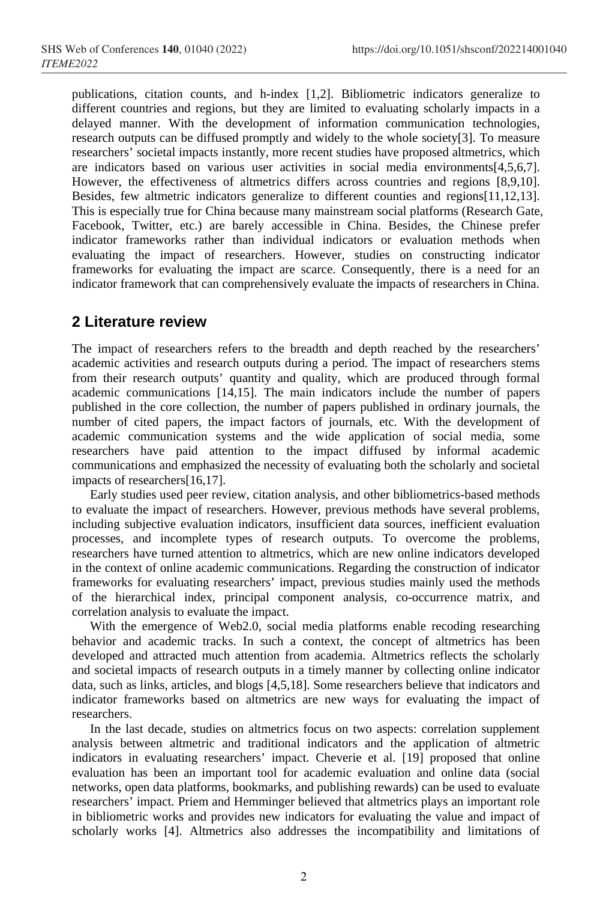publications, citation counts, and h-index [1,2]. Bibliometric indicators generalize to different countries and regions, but they are limited to evaluating scholarly impacts in a delayed manner. With the development of information communication technologies, research outputs can be diffused promptly and widely to the whole society[3]. To measure researchers' societal impacts instantly, more recent studies have proposed altmetrics, which are indicators based on various user activities in social media environments[4,5,6,7]. However, the effectiveness of altmetrics differs across countries and regions [8,9,10]. Besides, few altmetric indicators generalize to different counties and regions[11,12,13]. This is especially true for China because many mainstream social platforms (Research Gate, Facebook, Twitter, etc.) are barely accessible in China. Besides, the Chinese prefer indicator frameworks rather than individual indicators or evaluation methods when evaluating the impact of researchers. However, studies on constructing indicator frameworks for evaluating the impact are scarce. Consequently, there is a need for an indicator framework that can comprehensively evaluate the impacts of researchers in China.

# **2 Literature review**

The impact of researchers refers to the breadth and depth reached by the researchers' academic activities and research outputs during a period. The impact of researchers stems from their research outputs' quantity and quality, which are produced through formal academic communications [14,15]. The main indicators include the number of papers published in the core collection, the number of papers published in ordinary journals, the number of cited papers, the impact factors of journals, etc. With the development of academic communication systems and the wide application of social media, some researchers have paid attention to the impact diffused by informal academic communications and emphasized the necessity of evaluating both the scholarly and societal impacts of researchers[16,17].

Early studies used peer review, citation analysis, and other bibliometrics-based methods to evaluate the impact of researchers. However, previous methods have several problems, including subjective evaluation indicators, insufficient data sources, inefficient evaluation processes, and incomplete types of research outputs. To overcome the problems, researchers have turned attention to altmetrics, which are new online indicators developed in the context of online academic communications. Regarding the construction of indicator frameworks for evaluating researchers' impact, previous studies mainly used the methods of the hierarchical index, principal component analysis, co-occurrence matrix, and correlation analysis to evaluate the impact.

With the emergence of Web2.0, social media platforms enable recoding researching behavior and academic tracks. In such a context, the concept of altmetrics has been developed and attracted much attention from academia. Altmetrics reflects the scholarly and societal impacts of research outputs in a timely manner by collecting online indicator data, such as links, articles, and blogs [4,5,18]. Some researchers believe that indicators and indicator frameworks based on altmetrics are new ways for evaluating the impact of researchers.

In the last decade, studies on altmetrics focus on two aspects: correlation supplement analysis between altmetric and traditional indicators and the application of altmetric indicators in evaluating researchers' impact. Cheverie et al. [19] proposed that online evaluation has been an important tool for academic evaluation and online data (social networks, open data platforms, bookmarks, and publishing rewards) can be used to evaluate researchers' impact. Priem and Hemminger believed that altmetrics plays an important role in bibliometric works and provides new indicators for evaluating the value and impact of scholarly works [4]. Altmetrics also addresses the incompatibility and limitations of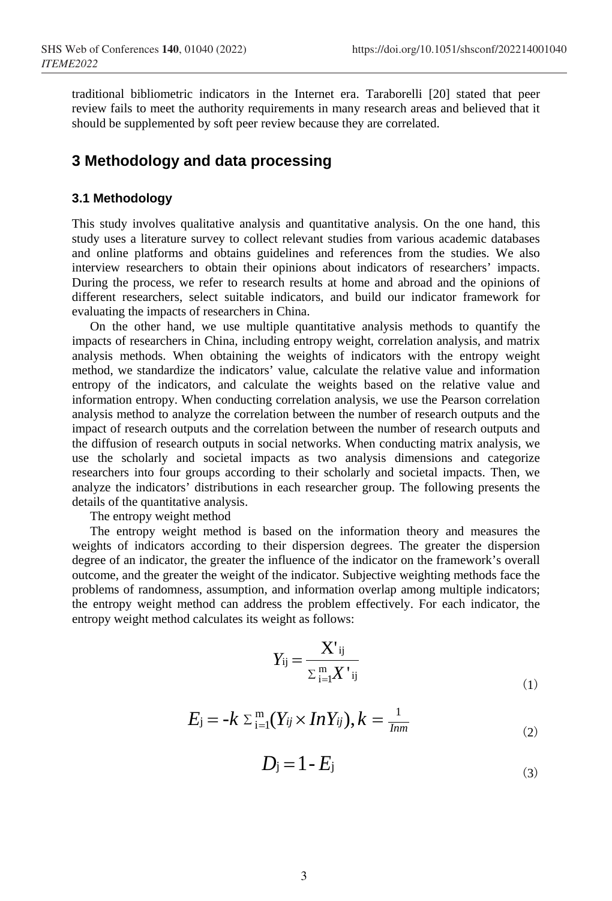traditional bibliometric indicators in the Internet era. Taraborelli [20] stated that peer review fails to meet the authority requirements in many research areas and believed that it should be supplemented by soft peer review because they are correlated.

# **3 Methodology and data processing**

#### **3.1 Methodology**

This study involves qualitative analysis and quantitative analysis. On the one hand, this study uses a literature survey to collect relevant studies from various academic databases and online platforms and obtains guidelines and references from the studies. We also interview researchers to obtain their opinions about indicators of researchers' impacts. During the process, we refer to research results at home and abroad and the opinions of different researchers, select suitable indicators, and build our indicator framework for evaluating the impacts of researchers in China.

On the other hand, we use multiple quantitative analysis methods to quantify the impacts of researchers in China, including entropy weight, correlation analysis, and matrix analysis methods. When obtaining the weights of indicators with the entropy weight method, we standardize the indicators' value, calculate the relative value and information entropy of the indicators, and calculate the weights based on the relative value and information entropy. When conducting correlation analysis, we use the Pearson correlation analysis method to analyze the correlation between the number of research outputs and the impact of research outputs and the correlation between the number of research outputs and the diffusion of research outputs in social networks. When conducting matrix analysis, we use the scholarly and societal impacts as two analysis dimensions and categorize researchers into four groups according to their scholarly and societal impacts. Then, we analyze the indicators' distributions in each researcher group. The following presents the details of the quantitative analysis.

The entropy weight method

The entropy weight method is based on the information theory and measures the weights of indicators according to their dispersion degrees. The greater the dispersion degree of an indicator, the greater the influence of the indicator on the framework's overall outcome, and the greater the weight of the indicator. Subjective weighting methods face the problems of randomness, assumption, and information overlap among multiple indicators; the entropy weight method can address the problem effectively. For each indicator, the entropy weight method calculates its weight as follows:

$$
Y_{ij} = \frac{\mathbf{X'}_{ij}}{\sum_{i=1}^{m} \mathbf{X'}_{ij}}\tag{1}
$$

$$
E_j = -k \sum_{i=1}^{m} (Y_{ij} \times InY_{ij}), k = \frac{1}{Imm}
$$
 (2)

$$
D_j = 1 - E_j \tag{3}
$$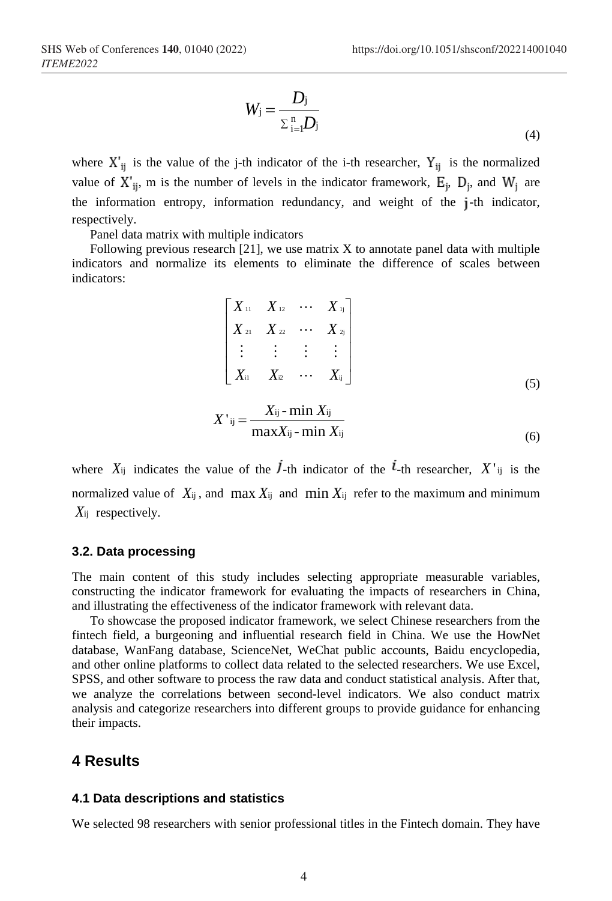$$
W_{\mathbf{j}} = \frac{D_{\mathbf{j}}}{\sum_{i=1}^{n} D_{\mathbf{j}}}
$$
\n<sup>(4)</sup>

where  $X'_{ii}$  is the value of the j-th indicator of the i-th researcher,  $Y_{ii}$  is the normalized value of  $X'_{ij}$ , m is the number of levels in the indicator framework,  $E_j$ ,  $D_j$ , and  $W_j$  are the information entropy, information redundancy, and weight of the j-th indicator, respectively.

Panel data matrix with multiple indicators

Following previous research [21], we use matrix X to annotate panel data with multiple indicators and normalize its elements to eliminate the difference of scales between indicators:

$$
\begin{bmatrix} X_{11} & X_{12} & \cdots & X_{1j} \\ X_{21} & X_{22} & \cdots & X_{2j} \\ \vdots & \vdots & \vdots & \vdots \\ X_{i1} & X_{i2} & \cdots & X_{ij} \end{bmatrix}
$$
 (5)

$$
X'_{ij} = \frac{X_{ij} - \min X_{ij}}{\max X_{ij} - \min X_{ij}}\tag{6}
$$

where  $X_{ij}$  indicates the value of the  $\dot{I}$ -th indicator of the  $\dot{I}$ -th researcher,  $X^{\dagger}$  is the normalized value of  $X_{ij}$ , and max  $X_{ij}$  and min  $X_{ij}$  refer to the maximum and minimum *X*ij respectively.

#### **3.2. Data processing**

The main content of this study includes selecting appropriate measurable variables, constructing the indicator framework for evaluating the impacts of researchers in China, and illustrating the effectiveness of the indicator framework with relevant data.

To showcase the proposed indicator framework, we select Chinese researchers from the fintech field, a burgeoning and influential research field in China. We use the HowNet database, WanFang database, ScienceNet, WeChat public accounts, Baidu encyclopedia, and other online platforms to collect data related to the selected researchers. We use Excel, SPSS, and other software to process the raw data and conduct statistical analysis. After that, we analyze the correlations between second-level indicators. We also conduct matrix analysis and categorize researchers into different groups to provide guidance for enhancing their impacts.

### **4 Results**

#### **4.1 Data descriptions and statistics**

We selected 98 researchers with senior professional titles in the Fintech domain. They have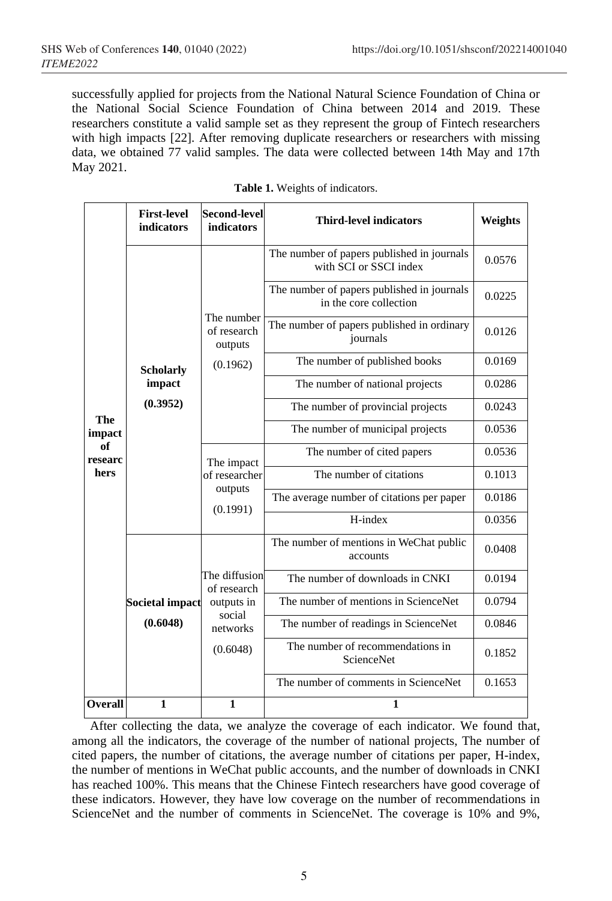successfully applied for projects from the National Natural Science Foundation of China or the National Social Science Foundation of China between 2014 and 2019. These researchers constitute a valid sample set as they represent the group of Fintech researchers with high impacts [22]. After removing duplicate researchers or researchers with missing data, we obtained 77 valid samples. The data were collected between 14th May and 17th May 2021.

|                                               | <b>First-level</b><br>indicators       | <b>Second-level</b><br>indicators                                            | <b>Third-level indicators</b>                                        | Weights |
|-----------------------------------------------|----------------------------------------|------------------------------------------------------------------------------|----------------------------------------------------------------------|---------|
| <b>The</b><br>impact<br>of<br>researc<br>hers | <b>Scholarly</b><br>impact<br>(0.3952) | The number<br>of research<br>outputs                                         | The number of papers published in journals<br>with SCI or SSCI index | 0.0576  |
|                                               |                                        |                                                                              | The number of papers published in journals<br>in the core collection | 0.0225  |
|                                               |                                        |                                                                              | The number of papers published in ordinary<br>journals               | 0.0126  |
|                                               |                                        | (0.1962)                                                                     | The number of published books                                        | 0.0169  |
|                                               |                                        |                                                                              | The number of national projects                                      | 0.0286  |
|                                               |                                        |                                                                              | The number of provincial projects                                    | 0.0243  |
|                                               |                                        |                                                                              | The number of municipal projects                                     | 0.0536  |
|                                               |                                        | The impact<br>of researcher<br>outputs<br>(0.1991)                           | The number of cited papers                                           | 0.0536  |
|                                               |                                        |                                                                              | The number of citations                                              | 0.1013  |
|                                               |                                        |                                                                              | The average number of citations per paper                            | 0.0186  |
|                                               |                                        |                                                                              | H-index                                                              | 0.0356  |
|                                               |                                        | The diffusion<br>of research<br>outputs in<br>social<br>networks<br>(0.6048) | The number of mentions in WeChat public<br>accounts                  | 0.0408  |
|                                               |                                        |                                                                              | The number of downloads in CNKI                                      | 0.0194  |
|                                               | Societal impact                        |                                                                              | The number of mentions in ScienceNet                                 | 0.0794  |
|                                               | (0.6048)                               |                                                                              | The number of readings in ScienceNet                                 | 0.0846  |
|                                               |                                        |                                                                              | The number of recommendations in<br>ScienceNet                       | 0.1852  |
|                                               |                                        |                                                                              | The number of comments in ScienceNet                                 | 0.1653  |
| Overall                                       | $\mathbf{1}$                           | $\mathbf{1}$                                                                 | 1                                                                    |         |

**Table 1.** Weights of indicators.

After collecting the data, we analyze the coverage of each indicator. We found that, among all the indicators, the coverage of the number of national projects, The number of cited papers, the number of citations, the average number of citations per paper, H-index, the number of mentions in WeChat public accounts, and the number of downloads in CNKI has reached 100%. This means that the Chinese Fintech researchers have good coverage of these indicators. However, they have low coverage on the number of recommendations in ScienceNet and the number of comments in ScienceNet. The coverage is 10% and 9%,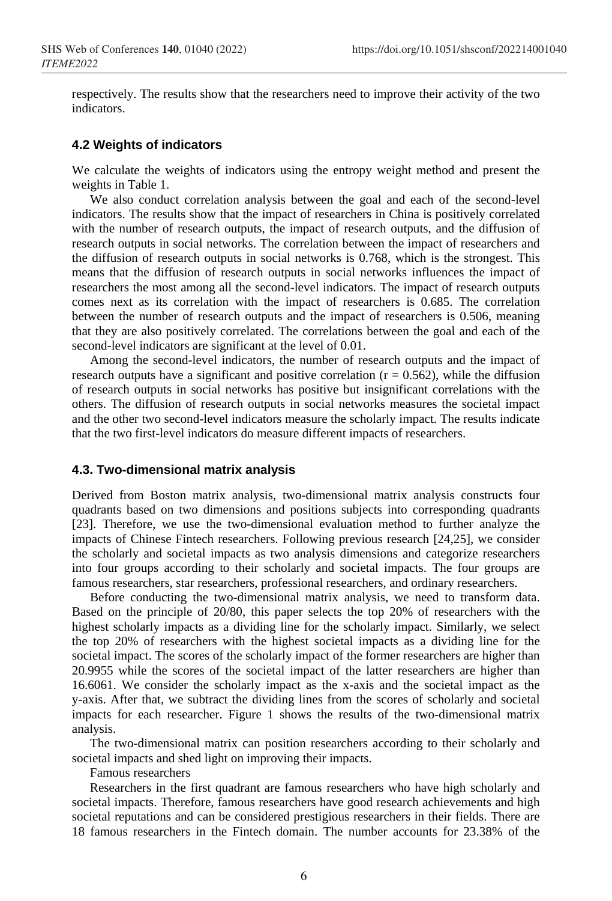respectively. The results show that the researchers need to improve their activity of the two indicators.

#### **4.2 Weights of indicators**

We calculate the weights of indicators using the entropy weight method and present the weights in Table 1.

We also conduct correlation analysis between the goal and each of the second-level indicators. The results show that the impact of researchers in China is positively correlated with the number of research outputs, the impact of research outputs, and the diffusion of research outputs in social networks. The correlation between the impact of researchers and the diffusion of research outputs in social networks is 0.768, which is the strongest. This means that the diffusion of research outputs in social networks influences the impact of researchers the most among all the second-level indicators. The impact of research outputs comes next as its correlation with the impact of researchers is 0.685. The correlation between the number of research outputs and the impact of researchers is 0.506, meaning that they are also positively correlated. The correlations between the goal and each of the second-level indicators are significant at the level of 0.01.

Among the second-level indicators, the number of research outputs and the impact of research outputs have a significant and positive correlation  $(r = 0.562)$ , while the diffusion of research outputs in social networks has positive but insignificant correlations with the others. The diffusion of research outputs in social networks measures the societal impact and the other two second-level indicators measure the scholarly impact. The results indicate that the two first-level indicators do measure different impacts of researchers.

#### **4.3. Two-dimensional matrix analysis**

Derived from Boston matrix analysis, two-dimensional matrix analysis constructs four quadrants based on two dimensions and positions subjects into corresponding quadrants [23]. Therefore, we use the two-dimensional evaluation method to further analyze the impacts of Chinese Fintech researchers. Following previous research [24,25], we consider the scholarly and societal impacts as two analysis dimensions and categorize researchers into four groups according to their scholarly and societal impacts. The four groups are famous researchers, star researchers, professional researchers, and ordinary researchers.

Before conducting the two-dimensional matrix analysis, we need to transform data. Based on the principle of 20/80, this paper selects the top 20% of researchers with the highest scholarly impacts as a dividing line for the scholarly impact. Similarly, we select the top 20% of researchers with the highest societal impacts as a dividing line for the societal impact. The scores of the scholarly impact of the former researchers are higher than 20.9955 while the scores of the societal impact of the latter researchers are higher than 16.6061. We consider the scholarly impact as the x-axis and the societal impact as the y-axis. After that, we subtract the dividing lines from the scores of scholarly and societal impacts for each researcher. Figure 1 shows the results of the two-dimensional matrix analysis.

The two-dimensional matrix can position researchers according to their scholarly and societal impacts and shed light on improving their impacts.

Famous researchers

Researchers in the first quadrant are famous researchers who have high scholarly and societal impacts. Therefore, famous researchers have good research achievements and high societal reputations and can be considered prestigious researchers in their fields. There are 18 famous researchers in the Fintech domain. The number accounts for 23.38% of the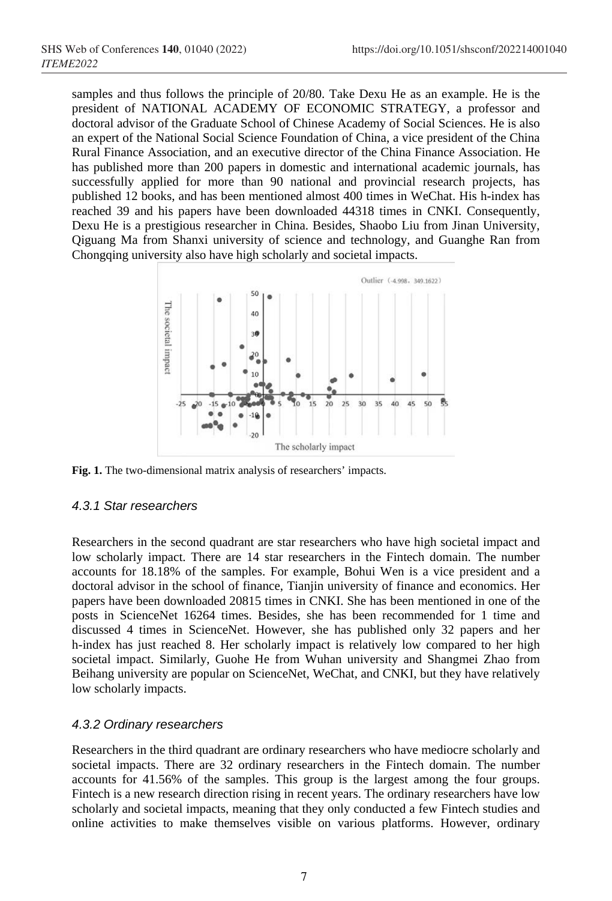samples and thus follows the principle of 20/80. Take Dexu He as an example. He is the president of NATIONAL ACADEMY OF ECONOMIC STRATEGY, a professor and doctoral advisor of the Graduate School of Chinese Academy of Social Sciences. He is also an expert of the National Social Science Foundation of China, a vice president of the China Rural Finance Association, and an executive director of the China Finance Association. He has published more than 200 papers in domestic and international academic journals, has successfully applied for more than 90 national and provincial research projects, has published 12 books, and has been mentioned almost 400 times in WeChat. His h-index has reached 39 and his papers have been downloaded 44318 times in CNKI. Consequently, Dexu He is a prestigious researcher in China. Besides, Shaobo Liu from Jinan University, Qiguang Ma from Shanxi university of science and technology, and Guanghe Ran from Chongqing university also have high scholarly and societal impacts.



**Fig. 1.** The two-dimensional matrix analysis of researchers' impacts.

#### *4.3.1 Star researchers*

Researchers in the second quadrant are star researchers who have high societal impact and low scholarly impact. There are 14 star researchers in the Fintech domain. The number accounts for 18.18% of the samples. For example, Bohui Wen is a vice president and a doctoral advisor in the school of finance, Tianjin university of finance and economics. Her papers have been downloaded 20815 times in CNKI. She has been mentioned in one of the posts in ScienceNet 16264 times. Besides, she has been recommended for 1 time and discussed 4 times in ScienceNet. However, she has published only 32 papers and her h-index has just reached 8. Her scholarly impact is relatively low compared to her high societal impact. Similarly, Guohe He from Wuhan university and Shangmei Zhao from Beihang university are popular on ScienceNet, WeChat, and CNKI, but they have relatively low scholarly impacts.

### *4.3.2 Ordinary researchers*

Researchers in the third quadrant are ordinary researchers who have mediocre scholarly and societal impacts. There are 32 ordinary researchers in the Fintech domain. The number accounts for 41.56% of the samples. This group is the largest among the four groups. Fintech is a new research direction rising in recent years. The ordinary researchers have low scholarly and societal impacts, meaning that they only conducted a few Fintech studies and online activities to make themselves visible on various platforms. However, ordinary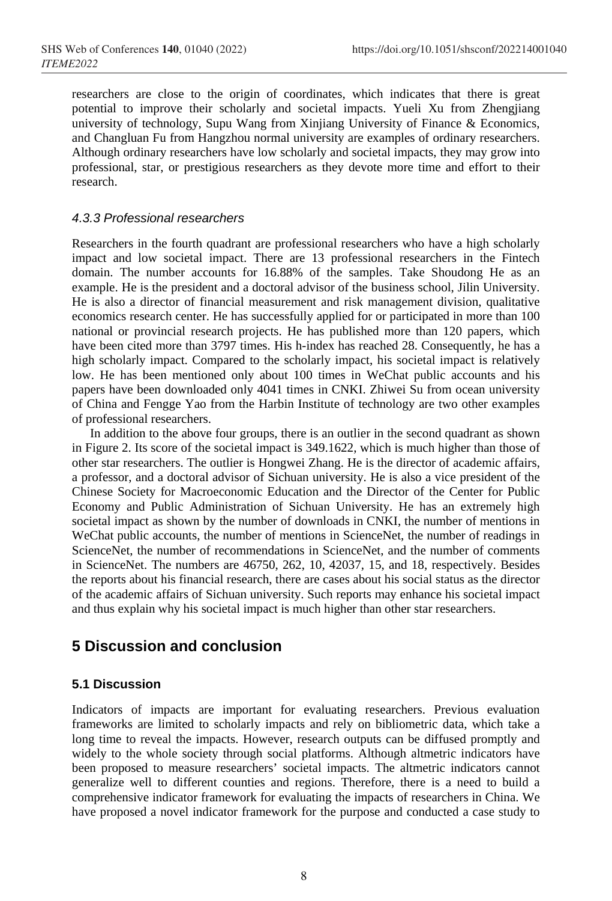researchers are close to the origin of coordinates, which indicates that there is great potential to improve their scholarly and societal impacts. Yueli Xu from Zhengjiang university of technology, Supu Wang from Xinjiang University of Finance & Economics, and Changluan Fu from Hangzhou normal university are examples of ordinary researchers. Although ordinary researchers have low scholarly and societal impacts, they may grow into professional, star, or prestigious researchers as they devote more time and effort to their research.

#### *4.3.3 Professional researchers*

Researchers in the fourth quadrant are professional researchers who have a high scholarly impact and low societal impact. There are 13 professional researchers in the Fintech domain. The number accounts for 16.88% of the samples. Take Shoudong He as an example. He is the president and a doctoral advisor of the business school, Jilin University. He is also a director of financial measurement and risk management division, qualitative economics research center. He has successfully applied for or participated in more than 100 national or provincial research projects. He has published more than 120 papers, which have been cited more than 3797 times. His h-index has reached 28. Consequently, he has a high scholarly impact. Compared to the scholarly impact, his societal impact is relatively low. He has been mentioned only about 100 times in WeChat public accounts and his papers have been downloaded only 4041 times in CNKI. Zhiwei Su from ocean university of China and Fengge Yao from the Harbin Institute of technology are two other examples of professional researchers.

In addition to the above four groups, there is an outlier in the second quadrant as shown in Figure 2. Its score of the societal impact is 349.1622, which is much higher than those of other star researchers. The outlier is Hongwei Zhang. He is the director of academic affairs, a professor, and a doctoral advisor of Sichuan university. He is also a vice president of the Chinese Society for Macroeconomic Education and the Director of the Center for Public Economy and Public Administration of Sichuan University. He has an extremely high societal impact as shown by the number of downloads in CNKI, the number of mentions in WeChat public accounts, the number of mentions in ScienceNet, the number of readings in ScienceNet, the number of recommendations in ScienceNet, and the number of comments in ScienceNet. The numbers are 46750, 262, 10, 42037, 15, and 18, respectively. Besides the reports about his financial research, there are cases about his social status as the director of the academic affairs of Sichuan university. Such reports may enhance his societal impact and thus explain why his societal impact is much higher than other star researchers.

# **5 Discussion and conclusion**

#### **5.1 Discussion**

Indicators of impacts are important for evaluating researchers. Previous evaluation frameworks are limited to scholarly impacts and rely on bibliometric data, which take a long time to reveal the impacts. However, research outputs can be diffused promptly and widely to the whole society through social platforms. Although altmetric indicators have been proposed to measure researchers' societal impacts. The altmetric indicators cannot generalize well to different counties and regions. Therefore, there is a need to build a comprehensive indicator framework for evaluating the impacts of researchers in China. We have proposed a novel indicator framework for the purpose and conducted a case study to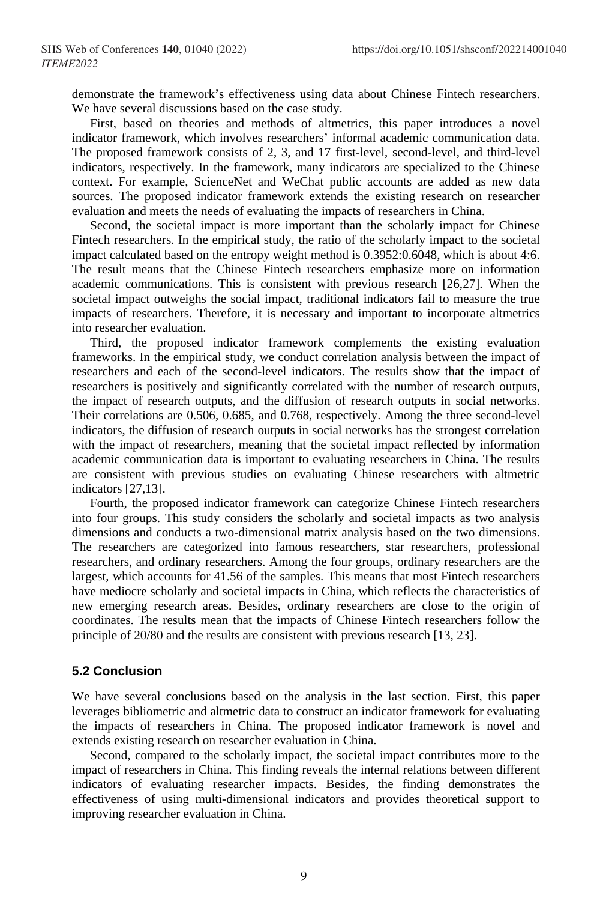demonstrate the framework's effectiveness using data about Chinese Fintech researchers. We have several discussions based on the case study.

First, based on theories and methods of altmetrics, this paper introduces a novel indicator framework, which involves researchers' informal academic communication data. The proposed framework consists of 2, 3, and 17 first-level, second-level, and third-level indicators, respectively. In the framework, many indicators are specialized to the Chinese context. For example, ScienceNet and WeChat public accounts are added as new data sources. The proposed indicator framework extends the existing research on researcher evaluation and meets the needs of evaluating the impacts of researchers in China.

Second, the societal impact is more important than the scholarly impact for Chinese Fintech researchers. In the empirical study, the ratio of the scholarly impact to the societal impact calculated based on the entropy weight method is 0.3952:0.6048, which is about 4:6. The result means that the Chinese Fintech researchers emphasize more on information academic communications. This is consistent with previous research [26,27]. When the societal impact outweighs the social impact, traditional indicators fail to measure the true impacts of researchers. Therefore, it is necessary and important to incorporate altmetrics into researcher evaluation.

Third, the proposed indicator framework complements the existing evaluation frameworks. In the empirical study, we conduct correlation analysis between the impact of researchers and each of the second-level indicators. The results show that the impact of researchers is positively and significantly correlated with the number of research outputs, the impact of research outputs, and the diffusion of research outputs in social networks. Their correlations are 0.506, 0.685, and 0.768, respectively. Among the three second-level indicators, the diffusion of research outputs in social networks has the strongest correlation with the impact of researchers, meaning that the societal impact reflected by information academic communication data is important to evaluating researchers in China. The results are consistent with previous studies on evaluating Chinese researchers with altmetric indicators [27,13].

Fourth, the proposed indicator framework can categorize Chinese Fintech researchers into four groups. This study considers the scholarly and societal impacts as two analysis dimensions and conducts a two-dimensional matrix analysis based on the two dimensions. The researchers are categorized into famous researchers, star researchers, professional researchers, and ordinary researchers. Among the four groups, ordinary researchers are the largest, which accounts for 41.56 of the samples. This means that most Fintech researchers have mediocre scholarly and societal impacts in China, which reflects the characteristics of new emerging research areas. Besides, ordinary researchers are close to the origin of coordinates. The results mean that the impacts of Chinese Fintech researchers follow the principle of 20/80 and the results are consistent with previous research [13, 23].

#### **5.2 Conclusion**

We have several conclusions based on the analysis in the last section. First, this paper leverages bibliometric and altmetric data to construct an indicator framework for evaluating the impacts of researchers in China. The proposed indicator framework is novel and extends existing research on researcher evaluation in China.

Second, compared to the scholarly impact, the societal impact contributes more to the impact of researchers in China. This finding reveals the internal relations between different indicators of evaluating researcher impacts. Besides, the finding demonstrates the effectiveness of using multi-dimensional indicators and provides theoretical support to improving researcher evaluation in China.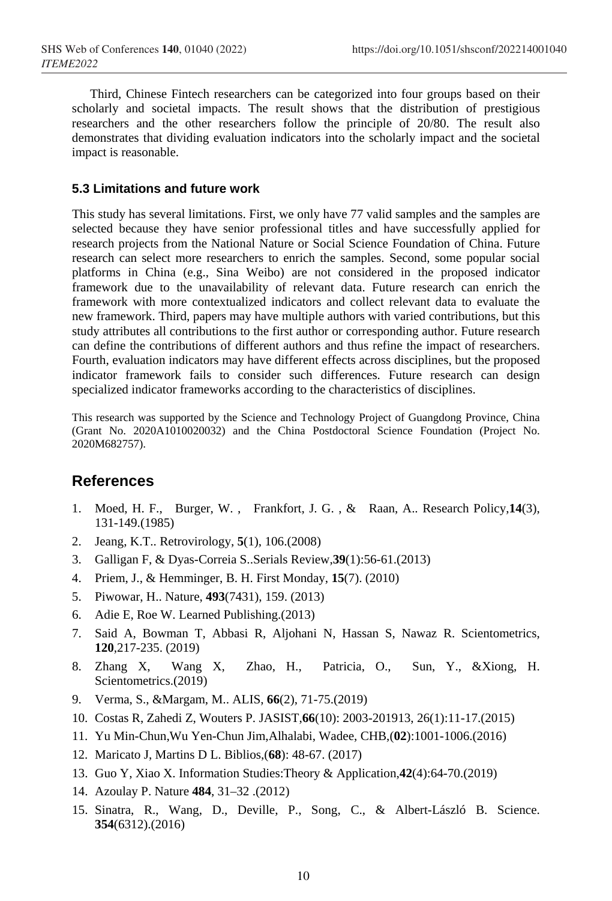Third, Chinese Fintech researchers can be categorized into four groups based on their scholarly and societal impacts. The result shows that the distribution of prestigious researchers and the other researchers follow the principle of 20/80. The result also demonstrates that dividing evaluation indicators into the scholarly impact and the societal impact is reasonable.

#### **5.3 Limitations and future work**

This study has several limitations. First, we only have 77 valid samples and the samples are selected because they have senior professional titles and have successfully applied for research projects from the National Nature or Social Science Foundation of China. Future research can select more researchers to enrich the samples. Second, some popular social platforms in China (e.g., Sina Weibo) are not considered in the proposed indicator framework due to the unavailability of relevant data. Future research can enrich the framework with more contextualized indicators and collect relevant data to evaluate the new framework. Third, papers may have multiple authors with varied contributions, but this study attributes all contributions to the first author or corresponding author. Future research can define the contributions of different authors and thus refine the impact of researchers. Fourth, evaluation indicators may have different effects across disciplines, but the proposed indicator framework fails to consider such differences. Future research can design specialized indicator frameworks according to the characteristics of disciplines.

This research was supported by the Science and Technology Project of Guangdong Province, China (Grant No. 2020A1010020032) and the China Postdoctoral Science Foundation (Project No. 2020M682757).

## **References**

- 1. Moed, H. F., Burger, W. , Frankfort, J. G. , & Raan, A.. Research Policy,**14**(3), 131-149.(1985)
- 2. Jeang, K.T.. Retrovirology, **5**(1), 106.(2008)
- 3. Galligan F, & Dyas-Correia S..Serials Review,**39**(1):56-61.(2013)
- 4. Priem, J., & Hemminger, B. H. First Monday, **15**(7). (2010)
- 5. Piwowar, H.. Nature, **493**(7431), 159. (2013)
- 6. Adie E, Roe W. Learned Publishing.(2013)
- 7. Said A, Bowman T, Abbasi R, Aljohani N, Hassan S, Nawaz R. Scientometrics, **120**,217-235. (2019)
- 8. Zhang X, Wang X, Zhao, H., Patricia, O., Sun, Y., &Xiong, H. Scientometrics.(2019)
- 9. Verma, S., &Margam, M.. ALIS, **66**(2), 71-75.(2019)
- 10. Costas R, Zahedi Z, Wouters P. JASIST,**66**(10): 2003-201913, 26(1):11-17.(2015)
- 11. Yu Min-Chun,Wu Yen-Chun Jim,Alhalabi, Wadee, CHB,(**02**):1001-1006.(2016)
- 12. Maricato J, Martins D L. Biblios,(**68**): 48-67. (2017)
- 13. Guo Y, Xiao X. Information Studies:Theory & Application,**42**(4):64-70.(2019)
- 14. Azoulay P. Nature **484**, 31–32 .(2012)
- 15. Sinatra, R., Wang, D., Deville, P., Song, C., & Albert-László B. Science. **354**(6312).(2016)